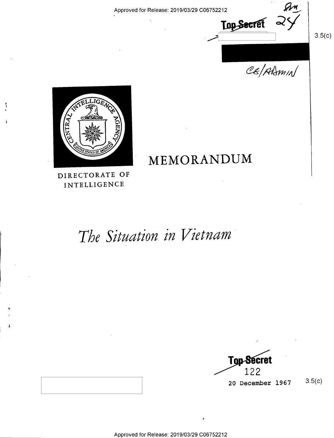Approved for Release: 2019/03/29 C06752212 Q/\_L

Top Secret

CE/ADMIN

 $3.5(c)$ 



# MEMORANDUM.

DIRECTORATE OF INTELLIGENCE

# The Situation in Vietnam

Top-Secret 122 20 December 1967 3-5(0)

I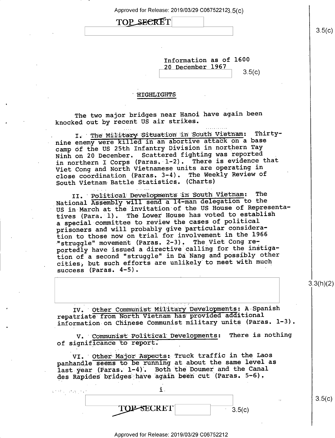Approved for Release: 2019/03/29 C067522123.5(c)

# TOP SECRET

Information as of 1600 20 December 1967  $3.5(c)$ 

### **HIGHLIGHTS**

The two major bridges near Hanoi have again been knocked out by recent US air strikes.

I. The Military Situation in South Vietnam: Thirtynine enemy were killed in an abortive attack on a base camp of the US 25th Infantry Division in northern Tay Ninh on 20 December. Scattered fighting was reported There is evidence that in northern I Corps (Paras. 1-2). Viet Cong and North Vietnamese units are operating in close coordination (Paras. 3-4). The Weekly Review of South Vietnam Battle Statistics. (Charts)

II. Political Developments in South Vietnam: The National Assembly will send a 14-man delegation to the US in March at the invitation of the US House of Representatives (Para. 1). The Lower House has voted to establish a special committee to review the cases of political prisoners and will probably give particular consideration to those now on trial for involvement in the 1966 "struggle" movement (Paras. 2-3). The Viet Cong reportedly have issued a directive calling for the instigation of a second "struggle" in Da Nang and possibly other cities, but such efforts are unlikely to meet with much success (Paras.  $4-5$ ).

IV. Other Communist Military Developments: A Spanish repatriate from North Vietnam has provided additional information on Chinese Communist military units (Paras. 1-3).

V. Communist Political Developments: There is nothing of significance to report.

VI. Other Major Aspects: Truck traffic in the Laos panhandle seems to be running at about the same level as last year (Paras. 1-4). Both the Doumer and the Canal des Rapides bridges have again been cut (Paras. 5-6).

| 医皮质反应 化乙醇 的复数形式 |         |          |
|-----------------|---------|----------|
|                 |         | $\cdots$ |
|                 | 67 W 67 | 3.5(r)   |

Approved for Release: 2019/03/29 C06752212

 $3.3(h)(2)$ 

 $3.5(c)$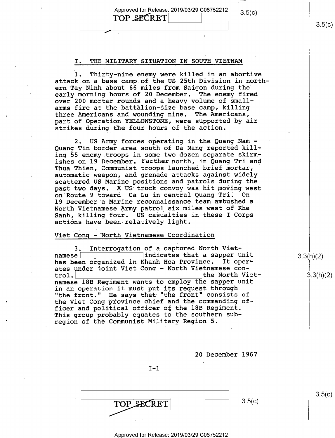Approved for Release: 2019/03/29 C06752212 3.5(c)<br>
TOP SECRET 3.5(c)

 $\overline{\phantom{a}}$ 

### I. THE MILITARY SITUATION IN SOUTH VIETNAM

1. Thirty-nine enemy were killed in an abortive attack on a base camp of the US 25th Division in northern Tay Ninh about 66 miles from Saigon during the early morning hours of 20 December. The enemy fired over 200 mortar rounds and a heavy volume of smallarms fire at the battalion-size base camp, killing three Americans and wounding nine. The Americans, part of Operation YELLOWSTONE, were supported by air strikes during the four hours of the action.

2. US Army forces operating in the Quang:Nam - Quang Tin border area south of Da Nang reported killing 55 enemy troops in some two dozen separate skirmishes on 19 December. Farther north, in Quang Tri and Thua Thien, Communist troops launched brief mortar, ' automatic weapon, and grenade attacks against widely scattered US Marine positions and patrols during the past two days. A'US truck convoy was hit moving west on Route 9 toward Ca Lu in central Quang Tri; On 19 December a Marine reconnaissance team ambushed a North Vietnamese Army patrol six miles west of Khe Sanh, killing four. US casualties in these I Corps actions have been relatively light.

## Viet Cong — North Vietnamese Coordination

3. Interrogation of a captured North Vietnamese indicates that a sapper unit has been organized in Khanh Hoa Province. It operates under joint Viet Cong - North Vietnamese con-<br>trol. the North Vietnamese 18B Regiment wants to employ the sapper unit in an operation it must put its request through "the front." He says that "the front" consists of the Viet Cong province chief and the commanding officer and political officer.of the 18B Regiment. This group probably equates to the southern subregion of the Communist Military Region 5.

20 December 1967

 $I-1$ 

 $\overline{\phantom{a}}$   $\overline{\phantom{a}}$   $\overline{\phantom{a}}$   $\overline{\phantom{a}}$   $\overline{\phantom{a}}$   $\overline{\phantom{a}}$   $\overline{\phantom{a}}$   $\overline{\phantom{a}}$   $\overline{\phantom{a}}$   $\overline{\phantom{a}}$   $\overline{\phantom{a}}$   $\overline{\phantom{a}}$   $\overline{\phantom{a}}$   $\overline{\phantom{a}}$   $\overline{\phantom{a}}$   $\overline{\phantom{a}}$   $\overline{\phantom{a}}$   $\overline{\phantom{a}}$   $\overline{\$  $3.5(c)$ **TOP SECRET** 

 $3.5(c)$ 

 $3.3(h)(2)$ 

3.3(h)(2)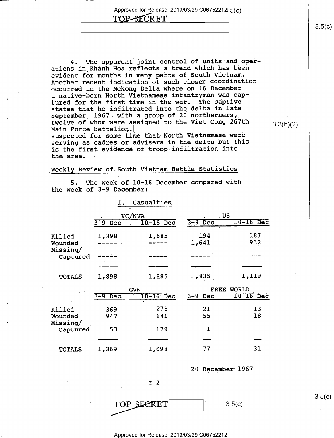Approved for Release: 2019/03/29 C06752212,  $5(c)$ <br>
TOP-SECRET

4. The apparent joint control of units and operations in Khanh Hoa reflects a trend which has been evident for months in many parts of South Vietnam. Another recent indication of such closer coordination occurred in the Mekong Delta where on 16 December a.native—born North Vietnamese infantryman was cap-. tured for the first time in the war. The captive states that he infiltrated into the delta in late September  $1967$  with a group of 20 northerners, twelve of whom were assigned to the Viet Cong 267th<br>Main Force battalion. Main Force battalion. \ suspected for some time that North Vietnamese were serving as cadres or advisers in the delta but this is the first evidence.of troop infiltration into

 $3.3(h)(2)$ 

# Weekly Review of South Vietnam Battle Statistics

the area.

5. The week of 10-16 December compared with the week of 3-9 December:

|                       | Ι.                    | Casualties   |                |              |
|-----------------------|-----------------------|--------------|----------------|--------------|
|                       | VC/NVA                |              | US             |              |
|                       | $3 - 9$<br>Dec        | $10-16$ Dec. | $3-9$ Dec      | $10-16$ Dec  |
| Killed                | 1,898                 | 1,685        | 194            | 187          |
| Wounded               |                       |              | 1,641          | 932          |
| Missing/<br>Captured  |                       |              |                |              |
|                       |                       |              |                |              |
| <b>TOTALS</b>         | 1,898                 | 1,685.       | 1,835          | 1,119        |
|                       |                       | <b>GVN</b>   | <b>FREE</b>    | <b>WORLD</b> |
|                       | $3 - 9$<br><b>Dec</b> | $10-16$ Dec  | $3 - 9$<br>Dec | $10-16$ Dec  |
| Killed                | 369 <sup>°</sup>      | 278          | 21             | 13           |
| Wounded               | 947                   | 641          | 55             | 18           |
| Missing/<br>Captured. | 53                    | 179          | ٦.             |              |
|                       |                       |              |                |              |
| <b>TOTALS</b>         | 1,369                 | 1,098        | 77             | 31           |

20 December 1967

 $I-2$  $\overline{TOP}$  SECRET 3.5(c)

#### - Approved for Release: 2019/03/29 C06752212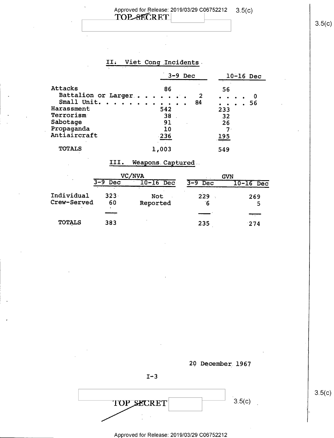# Approved for Release: 2019/03/29 C06752212 3.5(c)<br>
TOP-8ECRET

'

# II. Viet Cong Incidents.

|                     | $3-9$ Dec | $10-16$ Dec         |
|---------------------|-----------|---------------------|
| Attacks             | 86        | 56                  |
| Battalion or Larger | 2         | $\bullet$           |
| Small Unit.         | 84        | 56                  |
| .                   | $\bullet$ | $\bullet$ $\bullet$ |
| Harassment          | 542       | 233                 |
| Terrorism           | 38        | 32                  |
| Sabotage            | 91        | 26                  |
| Propaganda          | 10        | 7                   |
| Antiaircraft        | $-236$    | 195                 |
| <b>TOTALS</b>       | 1,003     | 549                 |

# III. Weapons.Captured-

|                           | 'NVA<br>VC    |                               | <b>GVN</b>     |                  |
|---------------------------|---------------|-------------------------------|----------------|------------------|
|                           | $3-9$ Dec     | $10 - 16$<br>Dec <sup>.</sup> | $3 - 9$<br>Dec | $10 - 16$<br>Dec |
| Individual<br>Crew-Served | $323 -$<br>60 | Not<br>Reported               | 229<br>΄6      | 269<br>5         |
|                           |               |                               |                |                  |
| <b>TOTALS</b>             | 383           |                               | 235            | 274              |



 $I - 3$ 

 $3.5(c)$  3.5(c) TOP SECRET

 $3.5(c)$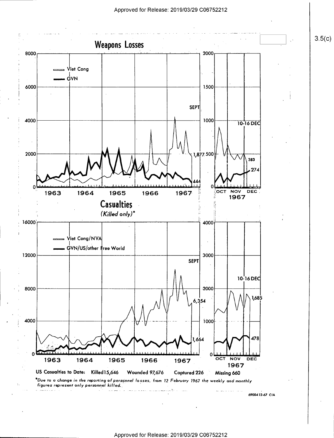

Approved for Release: 2019/03/29 C06752212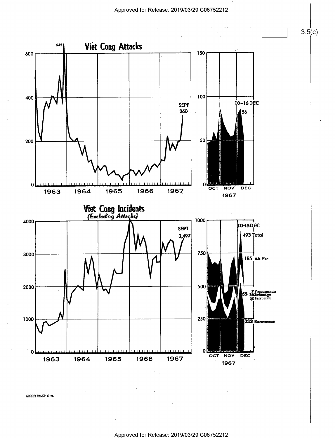$\mathbb{C}^{\mathbb{Z}}$ 



69000312-67 CIA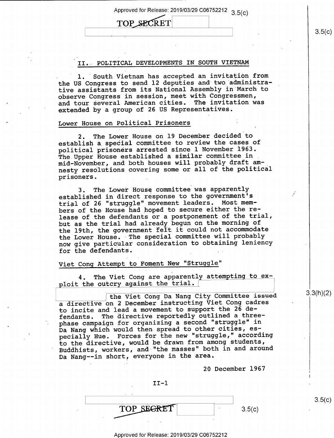Approved for Release: 2019/03/29 C06752212 3.5(c)

# TOP SECRET

### II. POLITICAL DEVELOPMENTS IN SOUTH VIETNAM

1. South Vietnam has accepted an invitation from the US Congress to send l2 deputies and two administrative assistants from its National Assembly in March to observe Congress in session, meet with Congressmen, and tour several American cities. The invitation was extended by a group of 26 US Representatives.

## Lower House on Political Prisoners

2. The Lower House on l9 December decided to establish a\_special committee to review the cases of political prisoners arrested since l November 1963. The Upper House established a similar committee in mid-November, and both houses will probably draft amnesty resolutions covering some or all of the political prisoners. \_

3. The Lower House committee was apparently established in direct response to the government's trial of 26 "struggle" movement leaders. Most members of the House had hoped to secure either the release of the defendants or a postponement of the trial, but as the trial had already begun on the morning of the 19th, the government felt it could not accommodate the Lower House. The special committee will probably now give particular consideration to obtaining leniency for the defendants.

# Viet Cong Attempt to Foment New "Struggle"

4. The Viet Cong are apparently attempting to exploit the outcry against the trial.

| the Viet Cong Da Nang City Committee issued a directive on 2 December instructing Viet Cong cadres to incite and lead a movement to support the 26 defendants. The directive reportedly outlined a threephase campaign for organizing a second "struggle" in Da Nang which would then spread to other cities, especially Hue. Forces for the new "struggle," according to the directive, would be drawn from among students, Buddhists, workers, and "the masses" both in and around Da Nang--in short, everyone in the area.

20 December 1967

<sup>g</sup> <sup>7</sup> TOP SEGRET  $3.5(c)$ 

II—l

Approved for Release: 2019/03/29 C06752212

3.3(h)(2)

 $3.5(c)$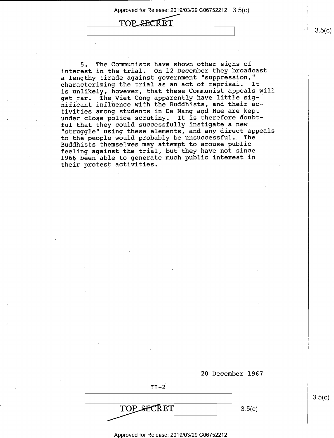TOP SECRET

5. The Communists have shown other signs of interest in the trial. On 12 December they broadcast <sup>a</sup>lengthy tirade against government "suppression," characterizing the trial as an act of reprisal. It is unlikely, however, that these Communist appeals will get far. The Viet Cong apparently have little sig—' nificant influence with the Buddhists, and their activities among students in Da Nang and Hue are kept under close police scrutiny. It is therefore doubtful that they could successfully instigate a new "struggle" using these elements, and any direct appeals to the people would probably be unsuccessful. The Buddhists themselves may attempt to arouse public feeling against the trial, but they have not since 1966 been able to generate much public interest in their protest activities.



 $3.5(c)$ 

Approved for Release: 2019/03/29 C06752212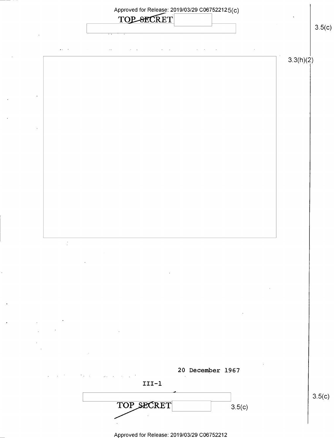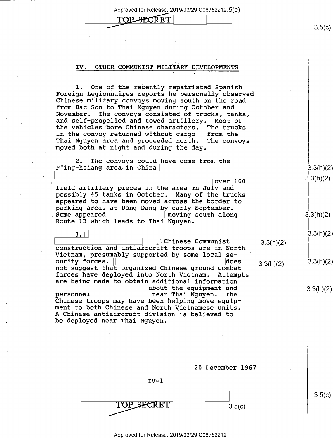Approved for Release: 2019/03/29 C06752212.5(C)

 $\sim$   $\sim$  3.5(c)

# IV. OTHER COMMUNIST MILITARY\_DEVELOPMENTS

1. One of the recently repatriated Spanish Foreign Legionnaires reports he personally observed Chinese military convoys moving south on the road from Bac Son to Thai Nguyen during October and<br>November. The convoys consisted of trucks, tar The convoys consisted of trucks, tanks, and self-propelled and towed artillery. Most of<br>the vehicles bore Chinese characters. The trucks the vehicles bore Chinese characters. The trucks in the convoy returned without cargo from the Thai Nguyen area and proceeded north. The convoys moved both at night and during the day.

2. The convoys could have come from the  $P'$ ing-hsiang area in China  $\vert$  3.3(h)(2)  $\vert$  3.3(h)(2)

 $\begin{array}{c|c|c|c|c|c} & & & & \text{over 3.3(h)(2)} \ \hline \texttt{field} & \texttt{artility} & \texttt{pieces} & \texttt{in the area in July and} & & & \end{array}$ possibly 45 tanks in October. Many of the trucks appeared to have been moved across the border to parking areas at Dong Dang by early September.<br>Some appeared | noving south alon  $\mod$  moving south along solution 3.3(h)(2) Route 1B which leads to Thai Nguyen.

 $3.$  $\frac{1}{2}$ Chinese Communist 2.3(h)(2) construction and antiaircraft troops are in North Vietnam, presumably supported by some local se-<br>curity forces.  $\Box$ curity forces. not suggest that organized Chinese ground combat  $3.3(h)(2)$ forces have deployed into North Vietnam. Attempts are being made to obtain additional information. \ about the equipment and gjyhxg) personnei" near Thai Nguyen. The ment to both Chinese and North Vietnamese units.<br>A Chinese antiaircraft division is believed to be deployed near Thai Nguyen.

 $IV-1$ 

TOP SECRET

20 December 1967

 $3.5(c)$ 

Approved for Release: 2019/03/29 C06752212

3.5(C)

3.3(h)(2)

 $3.3(h)(2)$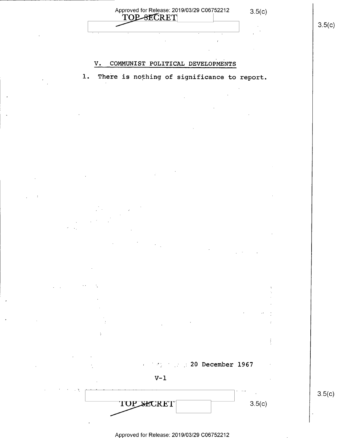Approved for Release: 2019/03/29 C06752212 3.5(c)<br>
TOP-8ECRET Approved for Release: 2019/03/29 C06/52212 3.5(c)<br>
TOP SECRET 3.5(c)<br>
3.5(c)

# V. COMMUNIST POLITICAL DEVELOPMENTS

l. There is nothing of significance to report.

Approved for Release: 2019/03/29 C06752212

V-1

TOP SECRET

~g \_:20 December 1967

"

 $3.5(c)$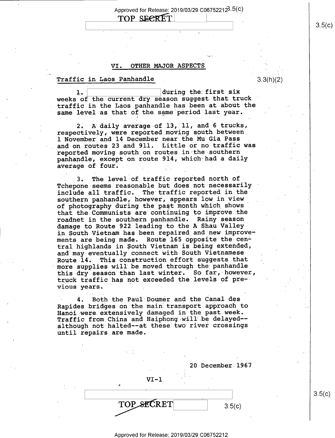Approved for Release: 2019/03/29 C067522123.5(C)

# TOP SECRET

# VI. OTHER MAJOR ASPECTS

# $\texttt{Traffic in Laos Panhandle} \qquad \qquad \texttt{3.3(h)(2)}$

during the first six ı. weeks of the current dry season suggest that truck traffic in the Laos panhandle has been at about the same level as that of the same period last year.

. I .

2. A daily average of 13, 11, and 6 trucks, respectively, were reported moving south between l November and 14 December near the Mu Gia Pass and on routes 23 and 9ll. Little or no traffic was reported moving south on routes in the southern panhandle; except on route 914, which had a daily average of four. \_ \_.

3. The level of traffic reported north of Tchepone seems reasonable but does not necessarily include all traffic. The traffic reported in thesouthern panhandle, however, appears low in view of photography during the past month which shows' that the Communists are continuing to improve the roadnet in the southern panhandle. Rainy season damage to Route 922 leading to the A Shau Valley in South Vietnam has been repaired and new improvements are being made. Route 165 opposite the central highlands in \$outh Vietnam is being extended, and may eventually connect with-South Vietnamese Route-14. This construction effort suggests that more supplies will be moved through the panhandle this dry season than last winter. So far, however, truck traffic has not exceeded the levels of pre— vious years. \_

4. Both the Paul Doumer and the Canal des Rapides bridges on the main transport approach to Hanoi were extensively damaged in the past week. Traffic from China and Haiphong will be delayed- although not-halted-—at these two river crossings until repairs are made.

|               | 20 December 1967     |
|---------------|----------------------|
| $VI - 1$<br>a | $\ddot{\phantom{1}}$ |
| TOP SECRET    | 3.5(c)               |

 $3.5(c)$ 

Approved for Release: 2019/03/29 C06752212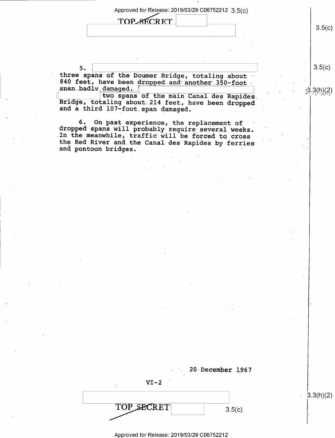Approved for Release: 2019/03/29 C06752212 3\_5(¢)

TOP SECRET

 $5.$   $\begin{bmatrix} 3.5(C) \end{bmatrix}$ three spans of the Doumer Bridge, totaling about 840 feet, have been dropped and another 350-foot span badly damaged. damaged.  $\Box$ 

two spans of the main Canal des Rapides.<br>-<br>-<br> $\begin{bmatrix} 1 \\ 2 \end{bmatrix}$  the main Canal des Rapides. Bridge, totaling about 214 feet, have been dropped and a third 107-foot span damaged.

6. On past experience, the replacement of dropped spans will probably require several weeks. In the meanwhile, traffic will be forced to cross<br>the Red River and the Canal des Rapides by ferries and pontoon bridges.

 $3.5(c)$ 

| $VI-2$<br>. . |        |  |
|---------------|--------|--|
| TOP SECRET    | 3.5(c) |  |

20 December 1967

 $3.3(h)(2)$